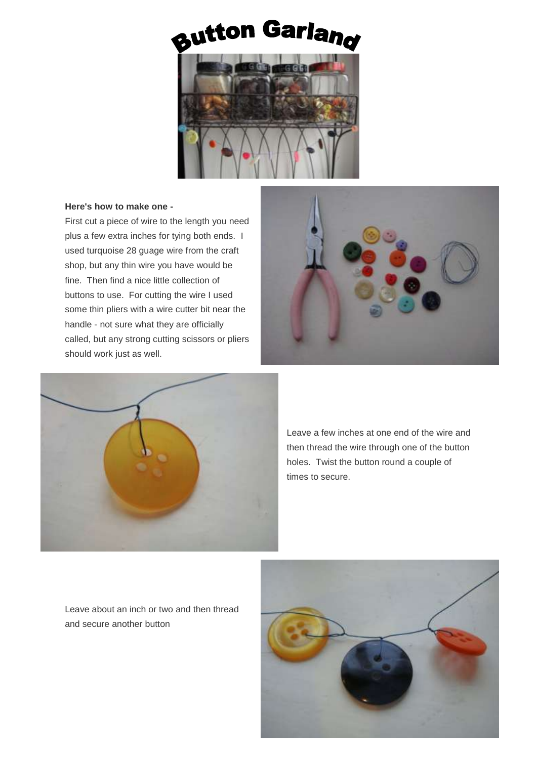## Button Garlang



## **Here's how to make one -**

First cut a piece of wire to the length you need plus a few extra inches for tying both ends. I used turquoise 28 guage wire from the craft shop, but any thin wire you have would be fine. Then find a nice little collection of buttons to use. For cutting the wire I used some thin pliers with a wire cutter bit near the handle - not sure what they are officially called, but any strong cutting scissors or pliers should work just as well.





Leave a few inches at one end of the wire and then thread the wire through one of the button holes. Twist the button round a couple of times to secure.

Leave about an inch or two and then thread and secure another button